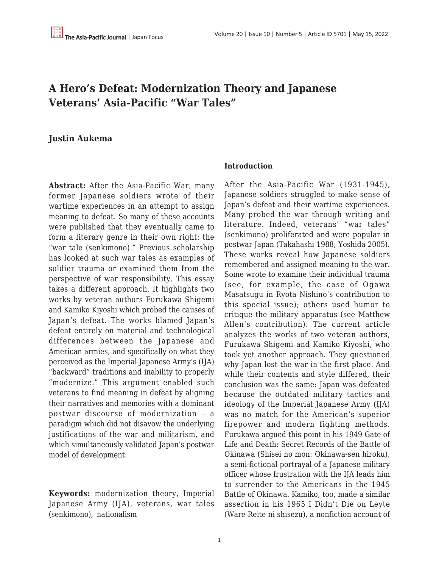# **A Hero's Defeat: Modernization Theory and Japanese Veterans' Asia-Pacific "War Tales"**

# **Justin Aukema**

**Abstract:** After the Asia-Pacific War, many former Japanese soldiers wrote of their wartime experiences in an attempt to assign meaning to defeat. So many of these accounts were published that they eventually came to form a literary genre in their own right: the "war tale (senkimono)." Previous scholarship has looked at such war tales as examples of soldier trauma or examined them from the perspective of war responsibility. This essay takes a different approach. It highlights two works by veteran authors Furukawa Shigemi and Kamiko Kiyoshi which probed the causes of Japan's defeat. The works blamed Japan's defeat entirely on material and technological differences between the Japanese and American armies, and specifically on what they perceived as the Imperial Japanese Army's (IJA) "backward" traditions and inability to properly "modernize." This argument enabled such veterans to find meaning in defeat by aligning their narratives and memories with a dominant postwar discourse of modernization – a paradigm which did not disavow the underlying justifications of the war and militarism, and which simultaneously validated Japan's postwar model of development.

**Keywords:** modernization theory, Imperial Japanese Army (IJA), veterans, war tales (senkimono), nationalism

#### **Introduction**

After the Asia-Pacific War (1931-1945), Japanese soldiers struggled to make sense of Japan's defeat and their wartime experiences. Many probed the war through writing and literature. Indeed, veterans' "war tales" (senkimono) proliferated and were popular in postwar Japan (Takahashi 1988; Yoshida 2005). These works reveal how Japanese soldiers remembered and assigned meaning to the war. Some wrote to examine their individual trauma (see, for example, the case of Ogawa Masatsugu in Ryota Nishino's contribution to this special issue); others used humor to critique the military apparatus (see Matthew Allen's contribution). The current article analyzes the works of two veteran authors, Furukawa Shigemi and Kamiko Kiyoshi, who took yet another approach. They questioned why Japan lost the war in the first place. And while their contents and style differed, their conclusion was the same: Japan was defeated because the outdated military tactics and ideology of the Imperial Japanese Army (IJA) was no match for the American's superior firepower and modern fighting methods. Furukawa argued this point in his 1949 Gate of Life and Death: Secret Records of the Battle of Okinawa (Shisei no mon: Okinawa-sen hiroku), a semi-fictional portrayal of a Japanese military officer whose frustration with the IJA leads him to surrender to the Americans in the 1945 Battle of Okinawa. Kamiko, too, made a similar assertion in his 1965 I Didn't Die on Leyte (Ware Reite ni shisezu), a nonfiction account of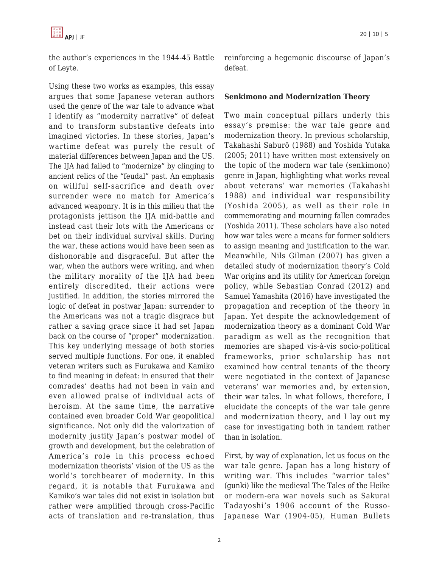

the author's experiences in the 1944-45 Battle of Leyte.

Using these two works as examples, this essay argues that some Japanese veteran authors used the genre of the war tale to advance what I identify as "modernity narrative" of defeat and to transform substantive defeats into imagined victories. In these stories, Japan's wartime defeat was purely the result of material differences between Japan and the US. The IJA had failed to "modernize" by clinging to ancient relics of the "feudal" past. An emphasis on willful self-sacrifice and death over surrender were no match for America's advanced weaponry. It is in this milieu that the protagonists jettison the IJA mid-battle and instead cast their lots with the Americans or bet on their individual survival skills. During the war, these actions would have been seen as dishonorable and disgraceful. But after the war, when the authors were writing, and when the military morality of the IJA had been entirely discredited, their actions were justified. In addition, the stories mirrored the logic of defeat in postwar Japan: surrender to the Americans was not a tragic disgrace but rather a saving grace since it had set Japan back on the course of "proper" modernization. This key underlying message of both stories served multiple functions. For one, it enabled veteran writers such as Furukawa and Kamiko to find meaning in defeat: in ensured that their comrades' deaths had not been in vain and even allowed praise of individual acts of heroism. At the same time, the narrative contained even broader Cold War geopolitical significance. Not only did the valorization of modernity justify Japan's postwar model of growth and development, but the celebration of America's role in this process echoed modernization theorists' vision of the US as the world's torchbearer of modernity. In this regard, it is notable that Furukawa and Kamiko's war tales did not exist in isolation but rather were amplified through cross-Pacific acts of translation and re-translation, thus reinforcing a hegemonic discourse of Japan's defeat.

#### **Senkimono and Modernization Theory**

Two main conceptual pillars underly this essay's premise: the war tale genre and modernization theory. In previous scholarship, Takahashi Saburō (1988) and Yoshida Yutaka (2005; 2011) have written most extensively on the topic of the modern war tale (senkimono) genre in Japan, highlighting what works reveal about veterans' war memories (Takahashi 1988) and individual war responsibility (Yoshida 2005), as well as their role in commemorating and mourning fallen comrades (Yoshida 2011). These scholars have also noted how war tales were a means for former soldiers to assign meaning and justification to the war. Meanwhile, Nils Gilman (2007) has given a detailed study of modernization theory's Cold War origins and its utility for American foreign policy, while Sebastian Conrad (2012) and Samuel Yamashita (2016) have investigated the propagation and reception of the theory in Japan. Yet despite the acknowledgement of modernization theory as a dominant Cold War paradigm as well as the recognition that memories are shaped vis-à-vis socio-political frameworks, prior scholarship has not examined how central tenants of the theory were negotiated in the context of Japanese veterans' war memories and, by extension, their war tales. In what follows, therefore, I elucidate the concepts of the war tale genre and modernization theory, and I lay out my case for investigating both in tandem rather than in isolation.

First, by way of explanation, let us focus on the war tale genre. Japan has a long history of writing war. This includes "warrior tales" (gunki) like the medieval The Tales of the Heike or modern-era war novels such as Sakurai Tadayoshi's 1906 account of the Russo-Japanese War (1904-05), Human Bullets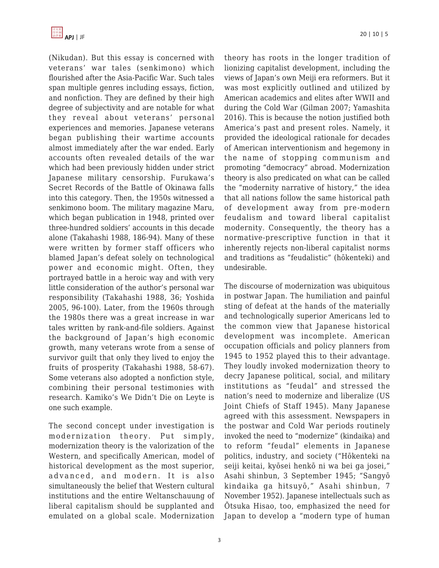(Nikudan). But this essay is concerned with veterans' war tales (senkimono) which flourished after the Asia-Pacific War. Such tales span multiple genres including essays, fiction, and nonfiction. They are defined by their high degree of subjectivity and are notable for what they reveal about veterans' personal experiences and memories. Japanese veterans began publishing their wartime accounts almost immediately after the war ended. Early accounts often revealed details of the war which had been previously hidden under strict Japanese military censorship. Furukawa's Secret Records of the Battle of Okinawa falls into this category. Then, the 1950s witnessed a senkimono boom. The military magazine Maru, which began publication in 1948, printed over three-hundred soldiers' accounts in this decade alone (Takahashi 1988, 186-94). Many of these were written by former staff officers who blamed Japan's defeat solely on technological power and economic might. Often, they portrayed battle in a heroic way and with very little consideration of the author's personal war responsibility (Takahashi 1988, 36; Yoshida 2005, 96-100). Later, from the 1960s through the 1980s there was a great increase in war tales written by rank-and-file soldiers. Against the background of Japan's high economic growth, many veterans wrote from a sense of survivor guilt that only they lived to enjoy the fruits of prosperity (Takahashi 1988, 58-67). Some veterans also adopted a nonfiction style, combining their personal testimonies with research. Kamiko's We Didn't Die on Leyte is one such example.

The second concept under investigation is modernization theory. Put simply, modernization theory is the valorization of the Western, and specifically American, model of historical development as the most superior, advanced, and modern. It is also simultaneously the belief that Western cultural institutions and the entire Weltanschauung of liberal capitalism should be supplanted and emulated on a global scale. Modernization theory has roots in the longer tradition of lionizing capitalist development, including the views of Japan's own Meiji era reformers. But it was most explicitly outlined and utilized by American academics and elites after WWII and during the Cold War (Gilman 2007; Yamashita 2016). This is because the notion justified both America's past and present roles. Namely, it provided the ideological rationale for decades of American interventionism and hegemony in the name of stopping communism and promoting "democracy" abroad. Modernization theory is also predicated on what can be called the "modernity narrative of history," the idea that all nations follow the same historical path of development away from pre-modern feudalism and toward liberal capitalist modernity. Consequently, the theory has a normative-prescriptive function in that it inherently rejects non-liberal capitalist norms and traditions as "feudalistic" (hōkenteki) and undesirable.

The discourse of modernization was ubiquitous in postwar Japan. The humiliation and painful sting of defeat at the hands of the materially and technologically superior Americans led to the common view that Japanese historical development was incomplete. American occupation officials and policy planners from 1945 to 1952 played this to their advantage. They loudly invoked modernization theory to decry Japanese political, social, and military institutions as "feudal" and stressed the nation's need to modernize and liberalize (US Joint Chiefs of Staff 1945). Many Japanese agreed with this assessment. Newspapers in the postwar and Cold War periods routinely invoked the need to "modernize" (kindaika) and to reform "feudal" elements in Japanese politics, industry, and society ("Hōkenteki na seiji keitai, kyōsei henkō ni wa bei ga josei," Asahi shinbun, 3 September 1945; "Sangyō kindaika ga hitsuyō," Asahi shinbun, 7 November 1952). Japanese intellectuals such as Ōtsuka Hisao, too, emphasized the need for Japan to develop a "modern type of human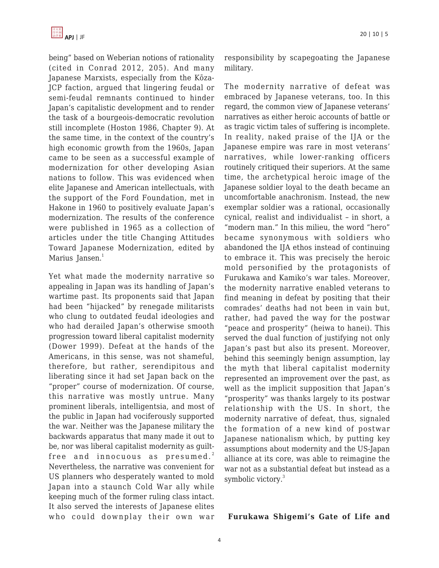being" based on Weberian notions of rationality (cited in Conrad 2012, 205). And many Japanese Marxists, especially from the Kōza-JCP faction, argued that lingering feudal or semi-feudal remnants continued to hinder Japan's capitalistic development and to render the task of a bourgeois-democratic revolution still incomplete (Hoston 1986, Chapter 9). At the same time, in the context of the country's high economic growth from the 1960s, Japan came to be seen as a successful example of modernization for other developing Asian nations to follow. This was evidenced when elite Japanese and American intellectuals, with the support of the Ford Foundation, met in Hakone in 1960 to positively evaluate Japan's modernization. The results of the conference were published in 1965 as a collection of articles under the title Changing Attitudes Toward Japanese Modernization, edited by Marius Jansen.<sup>1</sup>

Yet what made the modernity narrative so appealing in Japan was its handling of Japan's wartime past. Its proponents said that Japan had been "hijacked" by renegade militarists who clung to outdated feudal ideologies and who had derailed Japan's otherwise smooth progression toward liberal capitalist modernity (Dower 1999). Defeat at the hands of the Americans, in this sense, was not shameful, therefore, but rather, serendipitous and liberating since it had set Japan back on the "proper" course of modernization. Of course, this narrative was mostly untrue. Many prominent liberals, intelligentsia, and most of the public in Japan had vociferously supported the war. Neither was the Japanese military the backwards apparatus that many made it out to be, nor was liberal capitalist modernity as guiltfree and innocuous as presumed.<sup>2</sup> Nevertheless, the narrative was convenient for US planners who desperately wanted to mold Japan into a staunch Cold War ally while keeping much of the former ruling class intact. It also served the interests of Japanese elites who could downplay their own war responsibility by scapegoating the Japanese military.

The modernity narrative of defeat was embraced by Japanese veterans, too. In this regard, the common view of Japanese veterans' narratives as either heroic accounts of battle or as tragic victim tales of suffering is incomplete. In reality, naked praise of the IJA or the Japanese empire was rare in most veterans' narratives, while lower-ranking officers routinely critiqued their superiors. At the same time, the archetypical heroic image of the Japanese soldier loyal to the death became an uncomfortable anachronism. Instead, the new exemplar soldier was a rational, occasionally cynical, realist and individualist – in short, a "modern man." In this milieu, the word "hero" became synonymous with soldiers who abandoned the IJA ethos instead of continuing to embrace it. This was precisely the heroic mold personified by the protagonists of Furukawa and Kamiko's war tales. Moreover, the modernity narrative enabled veterans to find meaning in defeat by positing that their comrades' deaths had not been in vain but, rather, had paved the way for the postwar "peace and prosperity" (heiwa to hanei). This served the dual function of justifying not only Japan's past but also its present. Moreover, behind this seemingly benign assumption, lay the myth that liberal capitalist modernity represented an improvement over the past, as well as the implicit supposition that Japan's "prosperity" was thanks largely to its postwar relationship with the US. In short, the modernity narrative of defeat, thus, signaled the formation of a new kind of postwar Japanese nationalism which, by putting key assumptions about modernity and the US-Japan alliance at its core, was able to reimagine the war not as a substantial defeat but instead as a symbolic victory.<sup>3</sup>

#### **Furukawa Shigemi's Gate of Life and**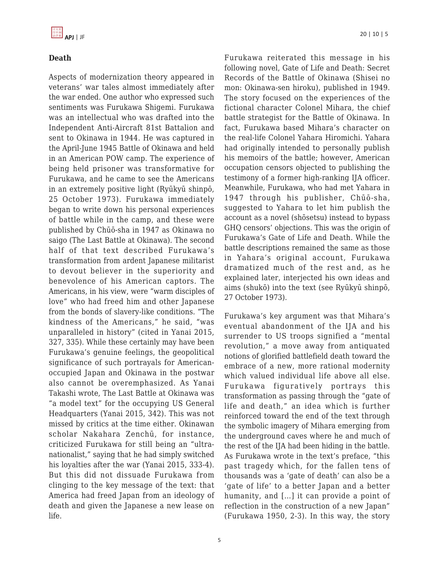# **Death**

Aspects of modernization theory appeared in veterans' war tales almost immediately after the war ended. One author who expressed such sentiments was Furukawa Shigemi. Furukawa was an intellectual who was drafted into the Independent Anti-Aircraft 81st Battalion and sent to Okinawa in 1944. He was captured in the April-June 1945 Battle of Okinawa and held in an American POW camp. The experience of being held prisoner was transformative for Furukawa, and he came to see the Americans in an extremely positive light (Ryūkyū shinpō, 25 October 1973). Furukawa immediately began to write down his personal experiences of battle while in the camp, and these were published by Chūō-sha in 1947 as Okinawa no saigo (The Last Battle at Okinawa). The second half of that text described Furukawa's transformation from ardent Japanese militarist to devout believer in the superiority and benevolence of his American captors. The Americans, in his view, were "warm disciples of love" who had freed him and other Japanese from the bonds of slavery-like conditions. "The kindness of the Americans," he said, "was unparalleled in history" (cited in Yanai 2015, 327, 335). While these certainly may have been Furukawa's genuine feelings, the geopolitical significance of such portrayals for Americanoccupied Japan and Okinawa in the postwar also cannot be overemphasized. As Yanai Takashi wrote, The Last Battle at Okinawa was "a model text" for the occupying US General Headquarters (Yanai 2015, 342). This was not missed by critics at the time either. Okinawan scholar Nakahara Zenchū, for instance, criticized Furukawa for still being an "ultranationalist," saying that he had simply switched his loyalties after the war (Yanai 2015, 333-4). But this did not dissuade Furukawa from clinging to the key message of the text: that America had freed Japan from an ideology of death and given the Japanese a new lease on life.

Furukawa reiterated this message in his following novel, Gate of Life and Death: Secret Records of the Battle of Okinawa (Shisei no mon: Okinawa-sen hiroku), published in 1949. The story focused on the experiences of the fictional character Colonel Mihara, the chief battle strategist for the Battle of Okinawa. In fact, Furukawa based Mihara's character on the real-life Colonel Yahara Hiromichi. Yahara had originally intended to personally publish his memoirs of the battle; however, American occupation censors objected to publishing the testimony of a former high-ranking IJA officer. Meanwhile, Furukawa, who had met Yahara in 1947 through his publisher, Chūō-sha, suggested to Yahara to let him publish the account as a novel (shōsetsu) instead to bypass GHQ censors' objections. This was the origin of Furukawa's Gate of Life and Death. While the battle descriptions remained the same as those in Yahara's original account, Furukawa dramatized much of the rest and, as he explained later, interjected his own ideas and aims (shukō) into the text (see Ryūkyū shinpō, 27 October 1973).

Furukawa's key argument was that Mihara's eventual abandonment of the IJA and his surrender to US troops signified a "mental revolution," a move away from antiquated notions of glorified battlefield death toward the embrace of a new, more rational modernity which valued individual life above all else. Furukawa figuratively portrays this transformation as passing through the "gate of life and death," an idea which is further reinforced toward the end of the text through the symbolic imagery of Mihara emerging from the underground caves where he and much of the rest of the IJA had been hiding in the battle. As Furukawa wrote in the text's preface, "this past tragedy which, for the fallen tens of thousands was a 'gate of death' can also be a 'gate of life' to a better Japan and a better humanity, and [...] it can provide a point of reflection in the construction of a new Japan" (Furukawa 1950, 2-3). In this way, the story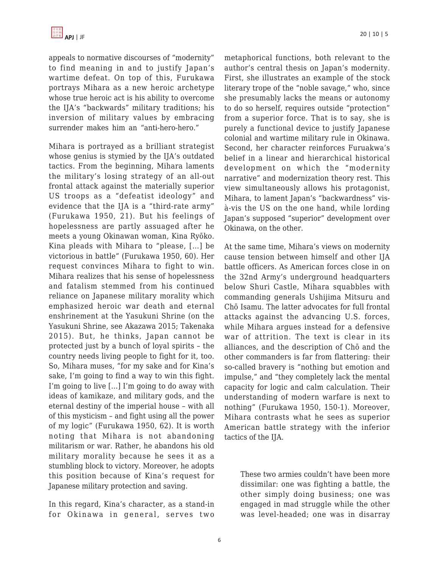

appeals to normative discourses of "modernity" to find meaning in and to justify Japan's wartime defeat. On top of this, Furukawa portrays Mihara as a new heroic archetype whose true heroic act is his ability to overcome the IJA's "backwards" military traditions; his inversion of military values by embracing surrender makes him an "anti-hero-hero."

Mihara is portrayed as a brilliant strategist whose genius is stymied by the IJA's outdated tactics. From the beginning, Mihara laments the military's losing strategy of an all-out frontal attack against the materially superior US troops as a "defeatist ideology" and evidence that the IJA is a "third-rate army" (Furukawa 1950, 21). But his feelings of hopelessness are partly assuaged after he meets a young Okinawan woman, Kina Ryōko. Kina pleads with Mihara to "please, […] be victorious in battle" (Furukawa 1950, 60). Her request convinces Mihara to fight to win. Mihara realizes that his sense of hopelessness and fatalism stemmed from his continued reliance on Japanese military morality which emphasized heroic war death and eternal enshrinement at the Yasukuni Shrine (on the Yasukuni Shrine, see Akazawa 2015; Takenaka 2015). But, he thinks, Japan cannot be protected just by a bunch of loyal spirits – the country needs living people to fight for it, too. So, Mihara muses, "for my sake and for Kina's sake, I'm going to find a way to win this fight. I'm going to live […] I'm going to do away with ideas of kamikaze, and military gods, and the eternal destiny of the imperial house – with all of this mysticism – and fight using all the power of my logic" (Furukawa 1950, 62). It is worth noting that Mihara is not abandoning militarism or war. Rather, he abandons his old military morality because he sees it as a stumbling block to victory. Moreover, he adopts this position because of Kina's request for Japanese military protection and saving.

In this regard, Kina's character, as a stand-in for Okinawa in general, serves two metaphorical functions, both relevant to the author's central thesis on Japan's modernity. First, she illustrates an example of the stock literary trope of the "noble savage," who, since she presumably lacks the means or autonomy to do so herself, requires outside "protection" from a superior force. That is to say, she is purely a functional device to justify Japanese colonial and wartime military rule in Okinawa. Second, her character reinforces Furuakwa's belief in a linear and hierarchical historical development on which the "modernity narrative" and modernization theory rest. This view simultaneously allows his protagonist, Mihara, to lament Japan's "backwardness" visà-vis the US on the one hand, while lording Japan's supposed "superior" development over Okinawa, on the other.

At the same time, Mihara's views on modernity cause tension between himself and other IJA battle officers. As American forces close in on the 32nd Army's underground headquarters below Shuri Castle, Mihara squabbles with commanding generals Ushijima Mitsuru and Chō Isamu. The latter advocates for full frontal attacks against the advancing U.S. forces, while Mihara argues instead for a defensive war of attrition. The text is clear in its alliances, and the description of Chō and the other commanders is far from flattering: their so-called bravery is "nothing but emotion and impulse," and "they completely lack the mental capacity for logic and calm calculation. Their understanding of modern warfare is next to nothing" (Furukawa 1950, 150-1). Moreover, Mihara contrasts what he sees as superior American battle strategy with the inferior tactics of the IJA.

These two armies couldn't have been more dissimilar: one was fighting a battle, the other simply doing business; one was engaged in mad struggle while the other was level-headed; one was in disarray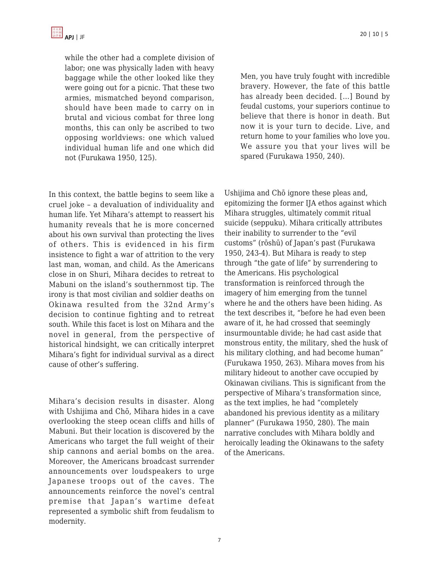while the other had a complete division of labor; one was physically laden with heavy baggage while the other looked like they were going out for a picnic. That these two armies, mismatched beyond comparison, should have been made to carry on in brutal and vicious combat for three long months, this can only be ascribed to two opposing worldviews: one which valued individual human life and one which did not (Furukawa 1950, 125).

In this context, the battle begins to seem like a cruel joke – a devaluation of individuality and human life. Yet Mihara's attempt to reassert his humanity reveals that he is more concerned about his own survival than protecting the lives of others. This is evidenced in his firm insistence to fight a war of attrition to the very last man, woman, and child. As the Americans close in on Shuri, Mihara decides to retreat to Mabuni on the island's southernmost tip. The irony is that most civilian and soldier deaths on Okinawa resulted from the 32nd Army's decision to continue fighting and to retreat south. While this facet is lost on Mihara and the novel in general, from the perspective of historical hindsight, we can critically interpret Mihara's fight for individual survival as a direct cause of other's suffering.

Mihara's decision results in disaster. Along with Ushijima and Chō, Mihara hides in a cave overlooking the steep ocean cliffs and hills of Mabuni. But their location is discovered by the Americans who target the full weight of their ship cannons and aerial bombs on the area. Moreover, the Americans broadcast surrender announcements over loudspeakers to urge Japanese troops out of the caves. The announcements reinforce the novel's central premise that Japan's wartime defeat represented a symbolic shift from feudalism to modernity.

Men, you have truly fought with incredible bravery. However, the fate of this battle has already been decided. […] Bound by feudal customs, your superiors continue to believe that there is honor in death. But now it is your turn to decide. Live, and return home to your families who love you. We assure you that your lives will be spared (Furukawa 1950, 240).

Ushijima and Chō ignore these pleas and, epitomizing the former IJA ethos against which Mihara struggles, ultimately commit ritual suicide (seppuku). Mihara critically attributes their inability to surrender to the "evil customs" (rōshū) of Japan's past (Furukawa 1950, 243-4). But Mihara is ready to step through "the gate of life" by surrendering to the Americans. His psychological transformation is reinforced through the imagery of him emerging from the tunnel where he and the others have been hiding. As the text describes it, "before he had even been aware of it, he had crossed that seemingly insurmountable divide; he had cast aside that monstrous entity, the military, shed the husk of his military clothing, and had become human" (Furukawa 1950, 263). Mihara moves from his military hideout to another cave occupied by Okinawan civilians. This is significant from the perspective of Mihara's transformation since, as the text implies, he had "completely abandoned his previous identity as a military planner" (Furukawa 1950, 280). The main narrative concludes with Mihara boldly and heroically leading the Okinawans to the safety of the Americans.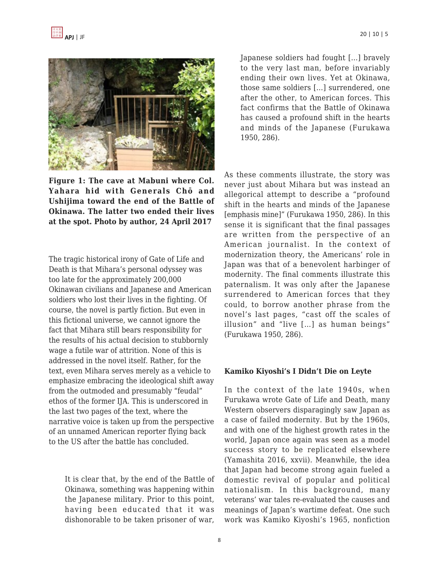

**Figure 1: The cave at Mabuni where Col. Yahara hid with Generals Chō and Ushijima toward the end of the Battle of Okinawa. The latter two ended their lives at the spot. Photo by author, 24 April 2017**

The tragic historical irony of Gate of Life and Death is that Mihara's personal odyssey was too late for the approximately 200,000 Okinawan civilians and Japanese and American soldiers who lost their lives in the fighting. Of course, the novel is partly fiction. But even in this fictional universe, we cannot ignore the fact that Mihara still bears responsibility for the results of his actual decision to stubbornly wage a futile war of attrition. None of this is addressed in the novel itself. Rather, for the text, even Mihara serves merely as a vehicle to emphasize embracing the ideological shift away from the outmoded and presumably "feudal" ethos of the former IJA. This is underscored in the last two pages of the text, where the narrative voice is taken up from the perspective of an unnamed American reporter flying back to the US after the battle has concluded.

It is clear that, by the end of the Battle of Okinawa, something was happening within the Japanese military. Prior to this point, having been educated that it was dishonorable to be taken prisoner of war,

Japanese soldiers had fought […] bravely to the very last man, before invariably ending their own lives. Yet at Okinawa, those same soldiers […] surrendered, one after the other, to American forces. This fact confirms that the Battle of Okinawa has caused a profound shift in the hearts and minds of the Japanese (Furukawa 1950, 286).

As these comments illustrate, the story was never just about Mihara but was instead an allegorical attempt to describe a "profound shift in the hearts and minds of the Japanese [emphasis mine]" (Furukawa 1950, 286). In this sense it is significant that the final passages are written from the perspective of an American journalist. In the context of modernization theory, the Americans' role in Japan was that of a benevolent harbinger of modernity. The final comments illustrate this paternalism. It was only after the Japanese surrendered to American forces that they could, to borrow another phrase from the novel's last pages, "cast off the scales of illusion" and "live […] as human beings" (Furukawa 1950, 286).

#### **Kamiko Kiyoshi's I Didn't Die on Leyte**

In the context of the late 1940s, when Furukawa wrote Gate of Life and Death, many Western observers disparagingly saw Japan as a case of failed modernity. But by the 1960s, and with one of the highest growth rates in the world, Japan once again was seen as a model success story to be replicated elsewhere (Yamashita 2016, xxvii). Meanwhile, the idea that Japan had become strong again fueled a domestic revival of popular and political nationalism. In this background, many veterans' war tales re-evaluated the causes and meanings of Japan's wartime defeat. One such work was Kamiko Kiyoshi's 1965, nonfiction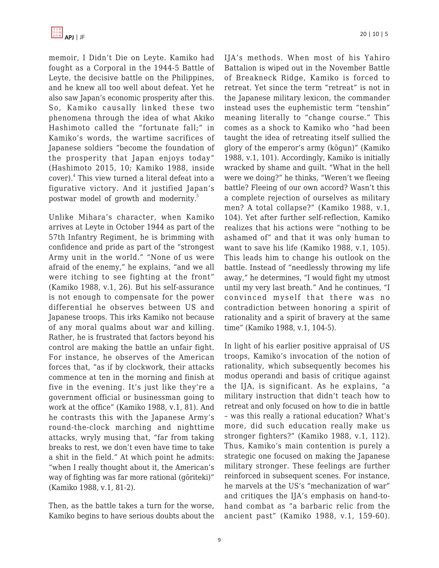

memoir, I Didn't Die on Leyte. Kamiko had fought as a Corporal in the 1944-5 Battle of Leyte, the decisive battle on the Philippines, and he knew all too well about defeat. Yet he also saw Japan's economic prosperity after this. So, Kamiko causally linked these two phenomena through the idea of what Akiko Hashimoto called the "fortunate fall;" in Kamiko's words, the wartime sacrifices of Japanese soldiers "become the foundation of the prosperity that Japan enjoys today" (Hashimoto 2015, 10; Kamiko 1988, inside cover).<sup>4</sup> This view turned a literal defeat into a figurative victory. And it justified Japan's postwar model of growth and modernity.<sup>5</sup>

Unlike Mihara's character, when Kamiko arrives at Leyte in October 1944 as part of the 57th Infantry Regiment, he is brimming with confidence and pride as part of the "strongest Army unit in the world." "None of us were afraid of the enemy," he explains, "and we all were itching to see fighting at the front" (Kamiko 1988, v.1, 26). But his self-assurance is not enough to compensate for the power differential he observes between US and Japanese troops. This irks Kamiko not because of any moral qualms about war and killing. Rather, he is frustrated that factors beyond his control are making the battle an unfair fight. For instance, he observes of the American forces that, "as if by clockwork, their attacks commence at ten in the morning and finish at five in the evening. It's just like they're a government official or businessman going to work at the office" (Kamiko 1988, v.1, 81). And he contrasts this with the Japanese Army's round-the-clock marching and nighttime attacks, wryly musing that, "far from taking breaks to rest, we don't even have time to take a shit in the field." At which point he admits: "when I really thought about it, the American's way of fighting was far more rational (gōriteki)" (Kamiko 1988, v.1, 81-2).

Then, as the battle takes a turn for the worse, Kamiko begins to have serious doubts about the IJA's methods. When most of his Yahiro Battalion is wiped out in the November Battle of Breakneck Ridge, Kamiko is forced to retreat. Yet since the term "retreat" is not in the Japanese military lexicon, the commander instead uses the euphemistic term "tenshin" meaning literally to "change course." This comes as a shock to Kamiko who "had been taught the idea of retreating itself sullied the glory of the emperor's army (kōgun)" (Kamiko 1988, v.1, 101). Accordingly, Kamiko is initially wracked by shame and guilt. "What in the hell were we doing?" he thinks, "Weren't we fleeing battle? Fleeing of our own accord? Wasn't this a complete rejection of ourselves as military men? A total collapse?" (Kamiko 1988, v.1, 104). Yet after further self-reflection, Kamiko realizes that his actions were "nothing to be ashamed of" and that it was only human to want to save his life (Kamiko 1988, v.1, 105). This leads him to change his outlook on the battle. Instead of "needlessly throwing my life away," he determines, "I would fight my utmost until my very last breath." And he continues, "I convinced myself that there was no contradiction between honoring a spirit of rationality and a spirit of bravery at the same time" (Kamiko 1988, v.1, 104-5).

In light of his earlier positive appraisal of US troops, Kamiko's invocation of the notion of rationality, which subsequently becomes his modus operandi and basis of critique against the IJA, is significant. As he explains, "a military instruction that didn't teach how to retreat and only focused on how to die in battle – was this really a rational education? What's more, did such education really make us stronger fighters?" (Kamiko 1988, v.1, 112). Thus, Kamiko's main contention is purely a strategic one focused on making the Japanese military stronger. These feelings are further reinforced in subsequent scenes. For instance, he marvels at the US's "mechanization of war" and critiques the IJA's emphasis on hand-tohand combat as "a barbaric relic from the ancient past" (Kamiko 1988, v.1, 159-60).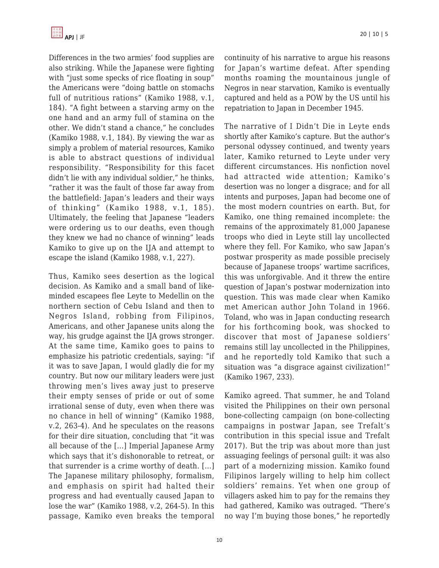Differences in the two armies' food supplies are also striking. While the Japanese were fighting with "just some specks of rice floating in soup" the Americans were "doing battle on stomachs full of nutritious rations" (Kamiko 1988, v.1, 184). "A fight between a starving army on the one hand and an army full of stamina on the other. We didn't stand a chance," he concludes (Kamiko 1988, v.1, 184). By viewing the war as simply a problem of material resources, Kamiko is able to abstract questions of individual responsibility. "Responsibility for this facet didn't lie with any individual soldier," he thinks, "rather it was the fault of those far away from the battlefield: Japan's leaders and their ways of thinking" (Kamiko 1988, v.1, 185). Ultimately, the feeling that Japanese "leaders were ordering us to our deaths, even though they knew we had no chance of winning" leads Kamiko to give up on the IJA and attempt to escape the island (Kamiko 1988, v.1, 227).

Thus, Kamiko sees desertion as the logical decision. As Kamiko and a small band of likeminded escapees flee Leyte to Medellin on the northern section of Cebu Island and then to Negros Island, robbing from Filipinos, Americans, and other Japanese units along the way, his grudge against the IJA grows stronger. At the same time, Kamiko goes to pains to emphasize his patriotic credentials, saying: "if it was to save Japan, I would gladly die for my country. But now our military leaders were just throwing men's lives away just to preserve their empty senses of pride or out of some irrational sense of duty, even when there was no chance in hell of winning" (Kamiko 1988, v.2, 263-4). And he speculates on the reasons for their dire situation, concluding that "it was all because of the […] Imperial Japanese Army which says that it's dishonorable to retreat, or that surrender is a crime worthy of death. […] The Japanese military philosophy, formalism, and emphasis on spirit had halted their progress and had eventually caused Japan to lose the war" (Kamiko 1988, v.2, 264-5). In this passage, Kamiko even breaks the temporal continuity of his narrative to argue his reasons for Japan's wartime defeat. After spending months roaming the mountainous jungle of Negros in near starvation, Kamiko is eventually captured and held as a POW by the US until his repatriation to Japan in December 1945.

The narrative of I Didn't Die in Leyte ends shortly after Kamiko's capture. But the author's personal odyssey continued, and twenty years later, Kamiko returned to Leyte under very different circumstances. His nonfiction novel had attracted wide attention; Kamiko's desertion was no longer a disgrace; and for all intents and purposes, Japan had become one of the most modern countries on earth. But, for Kamiko, one thing remained incomplete: the remains of the approximately 81,000 Japanese troops who died in Leyte still lay uncollected where they fell. For Kamiko, who saw Japan's postwar prosperity as made possible precisely because of Japanese troops' wartime sacrifices, this was unforgivable. And it threw the entire question of Japan's postwar modernization into question. This was made clear when Kamiko met American author John Toland in 1966. Toland, who was in Japan conducting research for his forthcoming book, was shocked to discover that most of Japanese soldiers' remains still lay uncollected in the Philippines, and he reportedly told Kamiko that such a situation was "a disgrace against civilization!" (Kamiko 1967, 233).

Kamiko agreed. That summer, he and Toland visited the Philippines on their own personal bone-collecting campaign (on bone-collecting campaigns in postwar Japan, see Trefalt's contribution in this special issue and Trefalt 2017). But the trip was about more than just assuaging feelings of personal guilt: it was also part of a modernizing mission. Kamiko found Filipinos largely willing to help him collect soldiers' remains. Yet when one group of villagers asked him to pay for the remains they had gathered, Kamiko was outraged. "There's no way I'm buying those bones," he reportedly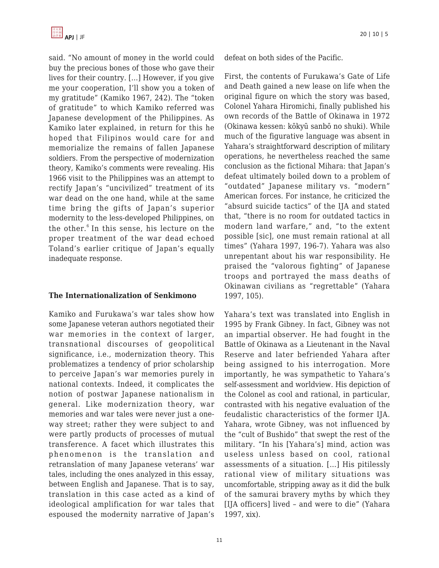

said. "No amount of money in the world could buy the precious bones of those who gave their lives for their country. […] However, if you give me your cooperation, I'll show you a token of my gratitude" (Kamiko 1967, 242). The "token of gratitude" to which Kamiko referred was Japanese development of the Philippines. As Kamiko later explained, in return for this he hoped that Filipinos would care for and memorialize the remains of fallen Japanese soldiers. From the perspective of modernization theory, Kamiko's comments were revealing. His 1966 visit to the Philippines was an attempt to rectify Japan's "uncivilized" treatment of its war dead on the one hand, while at the same time bring the gifts of Japan's superior modernity to the less-developed Philippines, on the other.<sup>6</sup> In this sense, his lecture on the proper treatment of the war dead echoed Toland's earlier critique of Japan's equally inadequate response.

#### **The Internationalization of Senkimono**

Kamiko and Furukawa's war tales show how some Japanese veteran authors negotiated their war memories in the context of larger, transnational discourses of geopolitical significance, i.e., modernization theory. This problematizes a tendency of prior scholarship to perceive Japan's war memories purely in national contexts. Indeed, it complicates the notion of postwar Japanese nationalism in general. Like modernization theory, war memories and war tales were never just a oneway street; rather they were subject to and were partly products of processes of mutual transference. A facet which illustrates this phenomenon is the translation and retranslation of many Japanese veterans' war tales, including the ones analyzed in this essay, between English and Japanese. That is to say, translation in this case acted as a kind of ideological amplification for war tales that espoused the modernity narrative of Japan's defeat on both sides of the Pacific.

First, the contents of Furukawa's Gate of Life and Death gained a new lease on life when the original figure on which the story was based, Colonel Yahara Hiromichi, finally published his own records of the Battle of Okinawa in 1972 (Okinawa kessen: kōkyū sanbō no shuki). While much of the figurative language was absent in Yahara's straightforward description of military operations, he nevertheless reached the same conclusion as the fictional Mihara: that Japan's defeat ultimately boiled down to a problem of "outdated" Japanese military vs. "modern" American forces. For instance, he criticized the "absurd suicide tactics" of the IJA and stated that, "there is no room for outdated tactics in modern land warfare," and, "to the extent possible [sic], one must remain rational at all times" (Yahara 1997, 196-7). Yahara was also unrepentant about his war responsibility. He praised the "valorous fighting" of Japanese troops and portrayed the mass deaths of Okinawan civilians as "regrettable" (Yahara 1997, 105).

Yahara's text was translated into English in 1995 by Frank Gibney. In fact, Gibney was not an impartial observer. He had fought in the Battle of Okinawa as a Lieutenant in the Naval Reserve and later befriended Yahara after being assigned to his interrogation. More importantly, he was sympathetic to Yahara's self-assessment and worldview. His depiction of the Colonel as cool and rational, in particular, contrasted with his negative evaluation of the feudalistic characteristics of the former IJA. Yahara, wrote Gibney, was not influenced by the "cult of Bushido" that swept the rest of the military. "In his [Yahara's] mind, action was useless unless based on cool, rational assessments of a situation. […] His pitilessly rational view of military situations was uncomfortable, stripping away as it did the bulk of the samurai bravery myths by which they [IJA officers] lived – and were to die" (Yahara 1997, xix).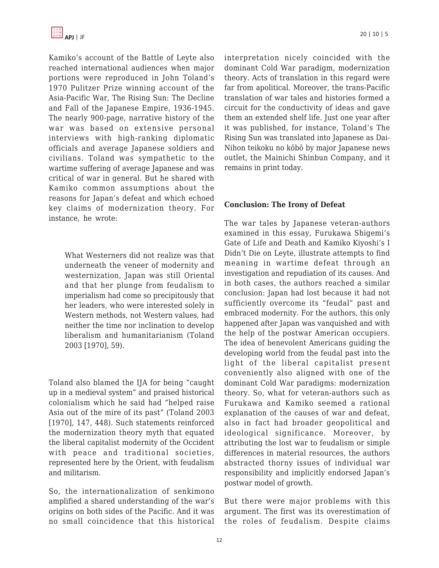Kamiko's account of the Battle of Leyte also reached international audiences when major portions were reproduced in John Toland's 1970 Pulitzer Prize winning account of the Asia-Pacific War, The Rising Sun: The Decline and Fall of the Japanese Empire, 1936-1945. The nearly 900-page, narrative history of the war was based on extensive personal interviews with high-ranking diplomatic officials and average Japanese soldiers and civilians. Toland was sympathetic to the wartime suffering of average Japanese and was critical of war in general. But he shared with Kamiko common assumptions about the reasons for Japan's defeat and which echoed key claims of modernization theory. For instance, he wrote:

What Westerners did not realize was that underneath the veneer of modernity and westernization, Japan was still Oriental and that her plunge from feudalism to imperialism had come so precipitously that her leaders, who were interested solely in Western methods, not Western values, had neither the time nor inclination to develop liberalism and humanitarianism (Toland 2003 [1970], 59).

Toland also blamed the IJA for being "caught up in a medieval system" and praised historical colonialism which he said had "helped raise Asia out of the mire of its past" (Toland 2003 [1970], 147, 448). Such statements reinforced the modernization theory myth that equated the liberal capitalist modernity of the Occident with peace and traditional societies, represented here by the Orient, with feudalism and militarism.

So, the internationalization of senkimono amplified a shared understanding of the war's origins on both sides of the Pacific. And it was no small coincidence that this historical interpretation nicely coincided with the dominant Cold War paradigm, modernization theory. Acts of translation in this regard were far from apolitical. Moreover, the trans-Pacific translation of war tales and histories formed a circuit for the conductivity of ideas and gave them an extended shelf life. Just one year after it was published, for instance, Toland's The Rising Sun was translated into Japanese as Dai-Nihon teikoku no kōbō by major Japanese news outlet, the Mainichi Shinbun Company, and it remains in print today.

### **Conclusion: The Irony of Defeat**

The war tales by Japanese veteran-authors examined in this essay, Furukawa Shigemi's Gate of Life and Death and Kamiko Kiyoshi's I Didn't Die on Leyte, illustrate attempts to find meaning in wartime defeat through an investigation and repudiation of its causes. And in both cases, the authors reached a similar conclusion: Japan had lost because it had not sufficiently overcome its "feudal" past and embraced modernity. For the authors, this only happened after Japan was vanquished and with the help of the postwar American occupiers. The idea of benevolent Americans guiding the developing world from the feudal past into the light of the liberal capitalist present conveniently also aligned with one of the dominant Cold War paradigms: modernization theory. So, what for veteran-authors such as Furukawa and Kamiko seemed a rational explanation of the causes of war and defeat, also in fact had broader geopolitical and ideological significance. Moreover, by attributing the lost war to feudalism or simple differences in material resources, the authors abstracted thorny issues of individual war responsibility and implicitly endorsed Japan's postwar model of growth.

But there were major problems with this argument. The first was its overestimation of the roles of feudalism. Despite claims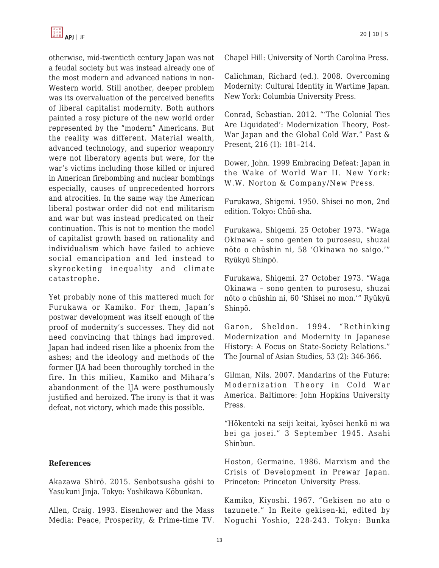

otherwise, mid-twentieth century Japan was not a feudal society but was instead already one of the most modern and advanced nations in non-Western world. Still another, deeper problem was its overvaluation of the perceived benefits of liberal capitalist modernity. Both authors painted a rosy picture of the new world order represented by the "modern" Americans. But the reality was different. Material wealth, advanced technology, and superior weaponry were not liberatory agents but were, for the war's victims including those killed or injured in American firebombing and nuclear bombings especially, causes of unprecedented horrors and atrocities. In the same way the American liberal postwar order did not end militarism and war but was instead predicated on their continuation. This is not to mention the model of capitalist growth based on rationality and individualism which have failed to achieve social emancipation and led instead to skyrocketing inequality and climate catastrophe.

Yet probably none of this mattered much for Furukawa or Kamiko. For them, Japan's postwar development was itself enough of the proof of modernity's successes. They did not need convincing that things had improved. Japan had indeed risen like a phoenix from the ashes; and the ideology and methods of the former IJA had been thoroughly torched in the fire. In this milieu, Kamiko and Mihara's abandonment of the IJA were posthumously justified and heroized. The irony is that it was defeat, not victory, which made this possible.

#### **References**

Akazawa Shirō. 2015. Senbotsusha gōshi to Yasukuni Jinja. Tokyo: Yoshikawa Kōbunkan.

Allen, Craig. 1993. Eisenhower and the Mass Media: Peace, Prosperity, & Prime-time TV.

Chapel Hill: University of North Carolina Press.

Calichman, Richard (ed.). 2008. Overcoming Modernity: Cultural Identity in Wartime Japan. New York: Columbia University Press.

Conrad, Sebastian. 2012. "'The Colonial Ties Are Liquidated': Modernization Theory, Post-War Japan and the Global Cold War." Past & Present, 216 (1): 181–214.

Dower, John. 1999 Embracing Defeat: Japan in the Wake of World War II. New York: W.W. Norton & Company/New Press.

Furukawa, Shigemi. 1950. Shisei no mon, 2nd edition. Tokyo: Chūō-sha.

Furukawa, Shigemi. 25 October 1973. "Waga Okinawa – sono genten to purosesu, shuzai nōto o chūshin ni, 58 'Okinawa no saigo.'" Ryūkyū Shinpō.

Furukawa, Shigemi. 27 October 1973. "Waga Okinawa – sono genten to purosesu, shuzai nōto o chūshin ni, 60 'Shisei no mon.'" Ryūkyū Shinpō.

Garon, Sheldon. 1994. "Rethinking Modernization and Modernity in Japanese History: A Focus on State-Society Relations." The Journal of Asian Studies, 53 (2): 346-366.

Gilman, Nils. 2007. Mandarins of the Future: Modernization Theory in Cold War America. Baltimore: John Hopkins University Press.

"Hōkenteki na seiji keitai, kyōsei henkō ni wa bei ga josei." 3 September 1945. Asahi Shinbun.

Hoston, Germaine. 1986. Marxism and the Crisis of Development in Prewar Japan. Princeton: Princeton University Press.

Kamiko, Kiyoshi. 1967. "Gekisen no ato o tazunete." In Reite gekisen-ki, edited by Noguchi Yoshio, 228-243. Tokyo: Bunka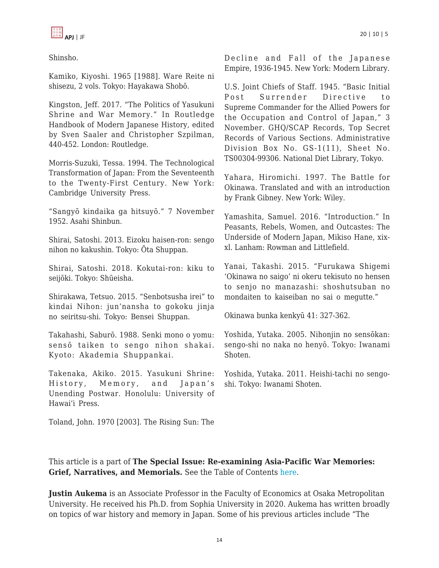

Shinsho.

Kamiko, Kiyoshi. 1965 [1988]. Ware Reite ni shisezu, 2 vols. Tokyo: Hayakawa Shobō.

Kingston, Jeff. 2017. "The Politics of Yasukuni Shrine and War Memory." In Routledge Handbook of Modern Japanese History, edited by Sven Saaler and Christopher Szpilman, 440-452. London: Routledge.

Morris-Suzuki, Tessa. 1994. The Technological Transformation of Japan: From the Seventeenth to the Twenty-First Century. New York: Cambridge University Press.

"Sangyō kindaika ga hitsuyō." 7 November 1952. Asahi Shinbun.

Shirai, Satoshi. 2013. Eizoku haisen-ron: sengo nihon no kakushin. Tokyo: Ōta Shuppan.

Shirai, Satoshi. 2018. Kokutai-ron: kiku to seijōki. Tokyo: Shūeisha.

Shirakawa, Tetsuo. 2015. "Senbotsusha irei" to kindai Nihon: jun'nansha to gokoku jinja no seiritsu-shi. Tokyo: Bensei Shuppan.

Takahashi, Saburō. 1988. Senki mono o yomu: sensō taiken to sengo nihon shakai. Kyoto: Akademia Shuppankai.

Takenaka, Akiko. 2015. Yasukuni Shrine: History, Memory, and Japan's Unending Postwar. Honolulu: University of Hawai'i Press.

Toland, John. 1970 [2003]. The Rising Sun: The

Decline and Fall of the Japanese Empire, 1936-1945. New York: Modern Library.

U.S. Joint Chiefs of Staff. 1945. "Basic Initial Post Surrender Directive to Supreme Commander for the Allied Powers for the Occupation and Control of Japan," 3 November. GHQ/SCAP Records, Top Secret Records of Various Sections. Administrative Division Box No. GS-1(11), Sheet No. TS00304-99306. National Diet Library, Tokyo.

Yahara, Hiromichi. 1997. The Battle for Okinawa. Translated and with an introduction by Frank Gibney. New York: Wiley.

Yamashita, Samuel. 2016. "Introduction." In Peasants, Rebels, Women, and Outcastes: The Underside of Modern Japan, Mikiso Hane, xixxl. Lanham: Rowman and Littlefield.

Yanai, Takashi. 2015. "Furukawa Shigemi 'Okinawa no saigo' ni okeru tekisuto no hensen to senjo no manazashi: shoshutsuban no mondaiten to kaiseiban no sai o megutte."

Okinawa bunka kenkyū 41: 327-362.

Yoshida, Yutaka. 2005. Nihonjin no sensōkan: sengo-shi no naka no henyō. Tokyo: Iwanami Shoten.

Yoshida, Yutaka. 2011. Heishi-tachi no sengoshi. Tokyo: Iwanami Shoten.

This article is a part of **The Special Issue: Re-examining Asia-Pacific War Memories: Grief, Narratives, and Memorials.** See the Table of Contents [here.](https://apjjf.org/2022/10/ToC.html)

**Justin Aukema** is an Associate Professor in the Faculty of Economics at Osaka Metropolitan University. He received his Ph.D. from Sophia University in 2020. Aukema has written broadly on topics of war history and memory in Japan. Some of his previous articles include "The